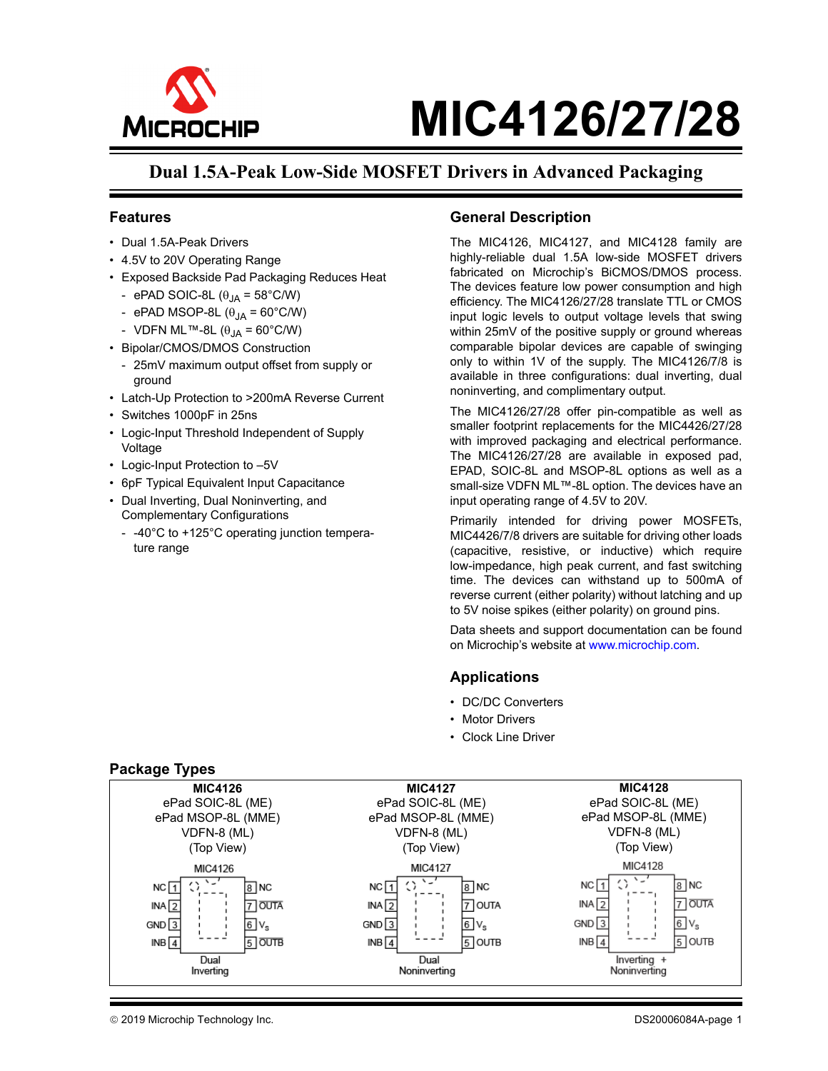

# **MIC4126/27/28**

# **Dual 1.5A-Peak Low-Side MOSFET Drivers in Advanced Packaging**

## **Features**

- Dual 1.5A-Peak Drivers
- 4.5V to 20V Operating Range
- Exposed Backside Pad Packaging Reduces Heat
	- ePAD SOIC-8L  $(\theta_{JA} = 58^{\circ}$ C/W)
	- ePAD MSOP-8L  $(\theta_{JA} = 60^{\circ}$ C/W)
- VDFN ML™-8L  $(\theta_{JA} = 60^{\circ}$ C/W)
- Bipolar/CMOS/DMOS Construction
	- 25mV maximum output offset from supply or ground
- Latch-Up Protection to >200mA Reverse Current
- Switches 1000pF in 25ns
- Logic-Input Threshold Independent of Supply Voltage
- Logic-Input Protection to –5V
- 6pF Typical Equivalent Input Capacitance
- Dual Inverting, Dual Noninverting, and Complementary Configurations
	- -40°C to +125°C operating junction temperature range

# **General Description**

The MIC4126, MIC4127, and MIC4128 family are highly-reliable dual 1.5A low-side MOSFET drivers fabricated on Microchip's BiCMOS/DMOS process. The devices feature low power consumption and high efficiency. The MIC4126/27/28 translate TTL or CMOS input logic levels to output voltage levels that swing within 25mV of the positive supply or ground whereas comparable bipolar devices are capable of swinging only to within 1V of the supply. The MIC4126/7/8 is available in three configurations: dual inverting, dual noninverting, and complimentary output.

The MIC4126/27/28 offer pin-compatible as well as smaller footprint replacements for the MIC4426/27/28 with improved packaging and electrical performance. The MIC4126/27/28 are available in exposed pad, EPAD, SOIC-8L and MSOP-8L options as well as a small-size VDFN ML™-8L option. The devices have an input operating range of 4.5V to 20V.

Primarily intended for driving power MOSFETs, MIC4426/7/8 drivers are suitable for driving other loads (capacitive, resistive, or inductive) which require low-impedance, high peak current, and fast switching time. The devices can withstand up to 500mA of reverse current (either polarity) without latching and up to 5V noise spikes (either polarity) on ground pins.

Data sheets and support documentation can be found on Microchip's website at [www.microchip.com](http://www.microchip.com).

# **Applications**

- DC/DC Converters
- Motor Drivers
- Clock Line Driver



2019 Microchip Technology Inc. DS20006084A-page 1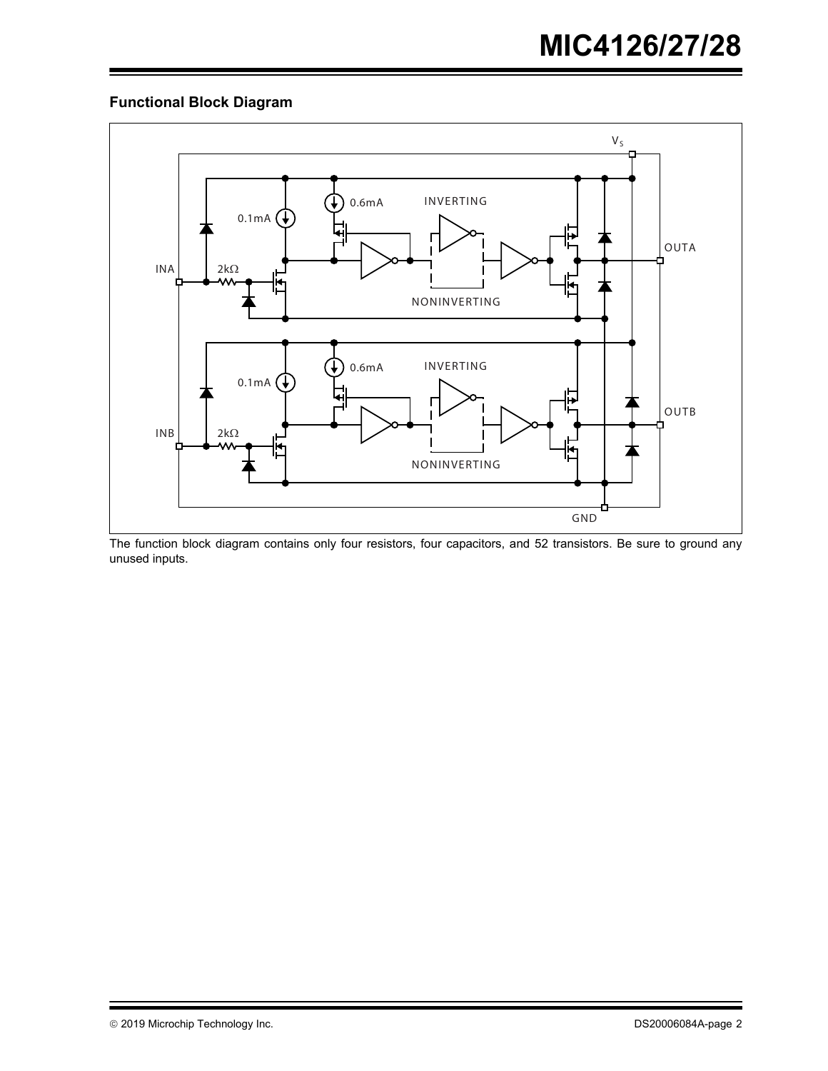# **Functional Block Diagram**



The function block diagram contains only four resistors, four capacitors, and 52 transistors. Be sure to ground any unused inputs.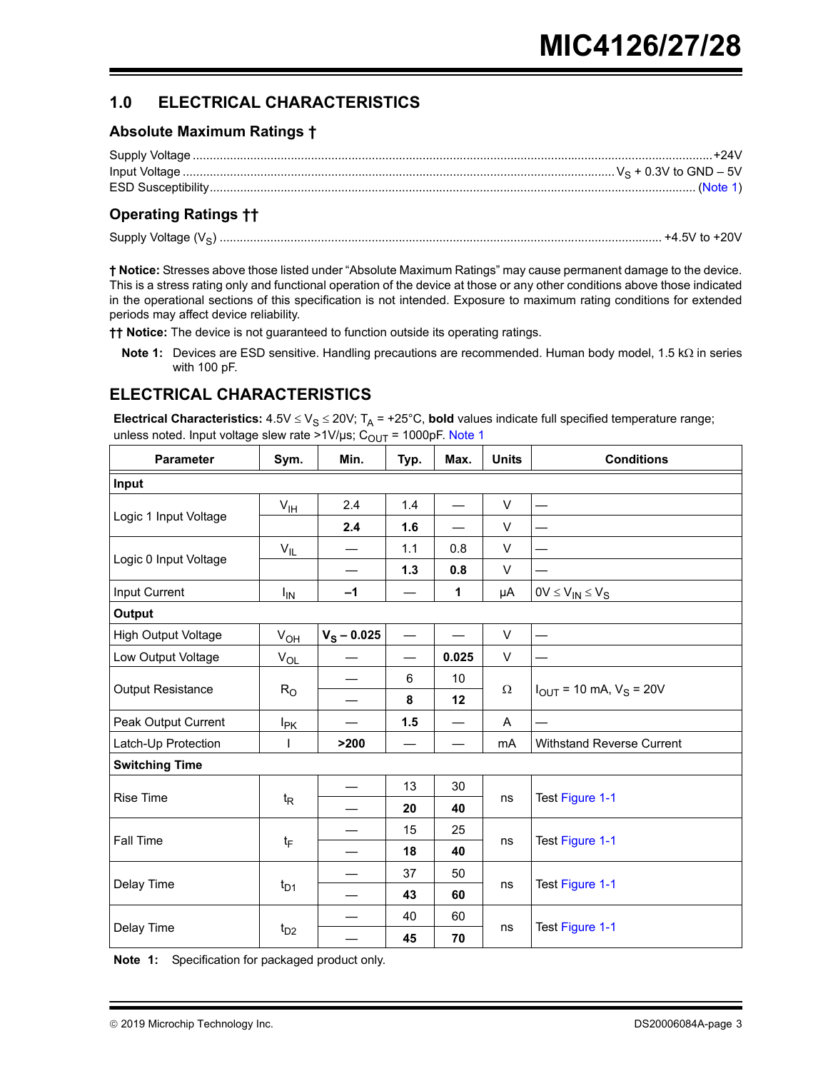# **1.0 ELECTRICAL CHARACTERISTICS**

# **Absolute Maximum Ratings †**

# **Operating Ratings ††**

Supply Voltage (VS) ................................................................................................................................... +4.5V to +20V

**† Notice:** Stresses above those listed under "Absolute Maximum Ratings" may cause permanent damage to the device. This is a stress rating only and functional operation of the device at those or any other conditions above those indicated in the operational sections of this specification is not intended. Exposure to maximum rating conditions for extended periods may affect device reliability.

**†† Notice:** The device is not guaranteed to function outside its operating ratings.

<span id="page-2-1"></span>Note 1: Devices are ESD sensitive. Handling precautions are recommended. Human body model, 1.5 kΩ in series with 100 pF.

# **ELECTRICAL CHARACTERISTICS**

**Electrical Characteristics:**  $4.5V \le V_S \le 20V$ ;  $T_A = +25^{\circ}C$ , **bold** values indicate full specified temperature range; unless noted. Input voltage slew rate >1V/µs;  $C<sub>OUT</sub>$  = 1000pF. [Note 1](#page-2-0)

| <b>Parameter</b>         | Sym.              | Min.          | Typ.                     | Max.                     | <b>Units</b> | <b>Conditions</b>              |  |
|--------------------------|-------------------|---------------|--------------------------|--------------------------|--------------|--------------------------------|--|
| Input                    |                   |               |                          |                          |              |                                |  |
|                          | $V_{\text{IH}}$   | 2.4           | 1.4                      | $\overline{\phantom{0}}$ | $\vee$       |                                |  |
| Logic 1 Input Voltage    |                   | 2.4           | 1.6                      | $\overline{\phantom{0}}$ | V            |                                |  |
|                          | $V_{IL}$          |               | 1.1                      | 0.8                      | $\vee$       |                                |  |
| Logic 0 Input Voltage    |                   |               | $1.3$                    | 0.8                      | $\vee$       |                                |  |
| Input Current            | ΙM                | $-1$          |                          | $\mathbf{1}$             | μA           | $0V \leq V_{IN} \leq V_S$      |  |
| Output                   |                   |               |                          |                          |              |                                |  |
| High Output Voltage      | $V_{OH}$          | $V_S - 0.025$ | $\overline{\phantom{0}}$ |                          | V            | $\overline{\phantom{0}}$       |  |
| Low Output Voltage       | $V_{OL}$          |               |                          | 0.025                    | V            |                                |  |
|                          | $R_{O}$           |               | 6                        | 10                       | $\Omega$     | $I_{OUT}$ = 10 mA, $V_S$ = 20V |  |
| <b>Output Resistance</b> |                   |               | 8                        | 12                       |              |                                |  |
| Peak Output Current      | $I_{\mathsf{PK}}$ |               | 1.5                      |                          | A            |                                |  |
| Latch-Up Protection      | ı                 | >200          |                          |                          | mA           | Withstand Reverse Current      |  |
| <b>Switching Time</b>    |                   |               |                          |                          |              |                                |  |
| <b>Rise Time</b>         |                   |               | 13                       | 30                       |              |                                |  |
|                          | $t_{\mathsf{R}}$  |               | 20                       | 40                       | ns           | Test Figure 1-1                |  |
|                          |                   |               | 15                       | 25                       |              |                                |  |
| Fall Time                | t <sub>F</sub>    |               | 18                       | 40                       | ns           | Test Figure 1-1                |  |
| Delay Time               |                   |               | 37                       | 50                       | ns           |                                |  |
|                          | $t_{D1}$          |               | 43                       | 60                       |              | Test Figure 1-1                |  |
|                          |                   |               | 40                       | 60                       |              |                                |  |
| Delay Time               | $t_{D2}$          |               | 45                       | 70                       | ns           | Test Figure 1-1                |  |

<span id="page-2-0"></span>**Note 1:** Specification for packaged product only.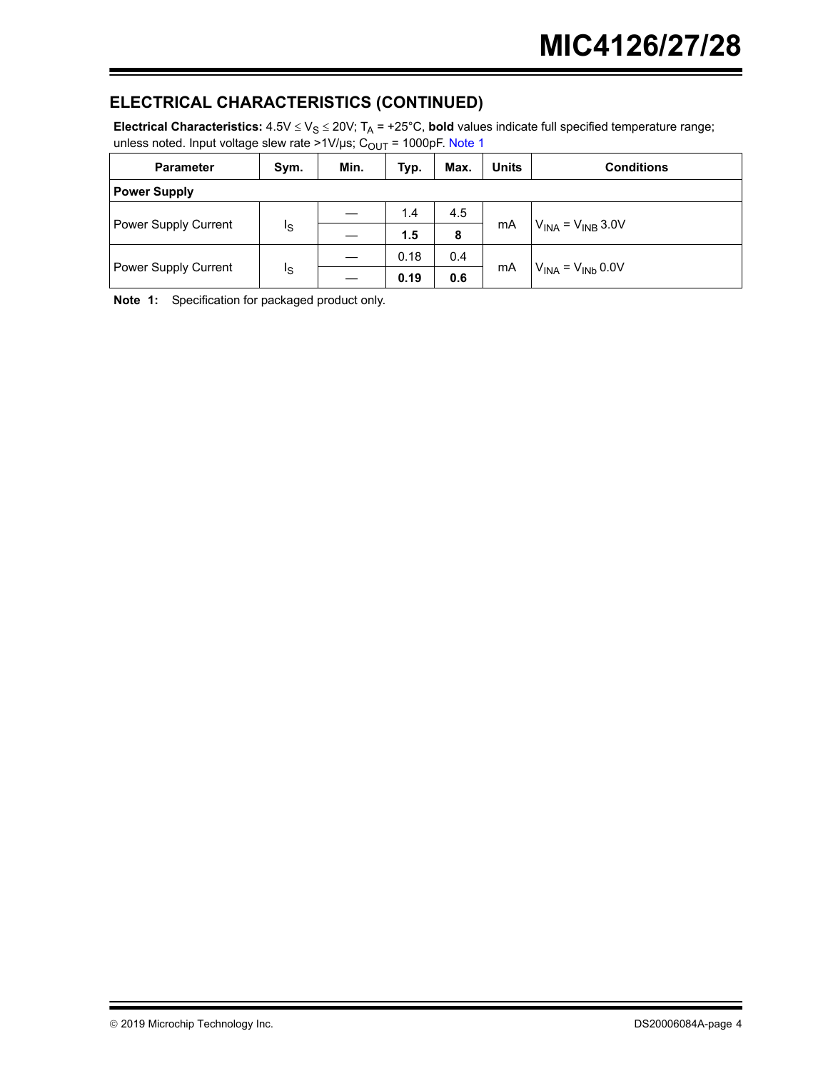# **ELECTRICAL CHARACTERISTICS (CONTINUED)**

Electrical Characteristics:  $4.5V \le V_S \le 20V$ ; T<sub>A</sub> = +25°C, bold values indicate full specified temperature range; unless noted. Input voltage slew rate >1V/µs; C<sub>OUT</sub> = 1000pF. Note 1

| <b>Parameter</b>     | Sym. | Min. | Typ. | Max. | <b>Units</b> | <b>Conditions</b>          |  |
|----------------------|------|------|------|------|--------------|----------------------------|--|
| <b>Power Supply</b>  |      |      |      |      |              |                            |  |
| Power Supply Current | Ιs   |      | 1.4  | 4.5  | mA           |                            |  |
|                      |      |      | 1.5  | 8    |              | $V_{INA}$ = $V_{INB}$ 3.0V |  |
|                      |      |      | 0.18 | 0.4  |              |                            |  |
| Power Supply Current | Ιs   |      | 0.19 | 0.6  | mA           | $V_{INA} = V_{INb} 0.0 V$  |  |

**Note 1:** Specification for packaged product only.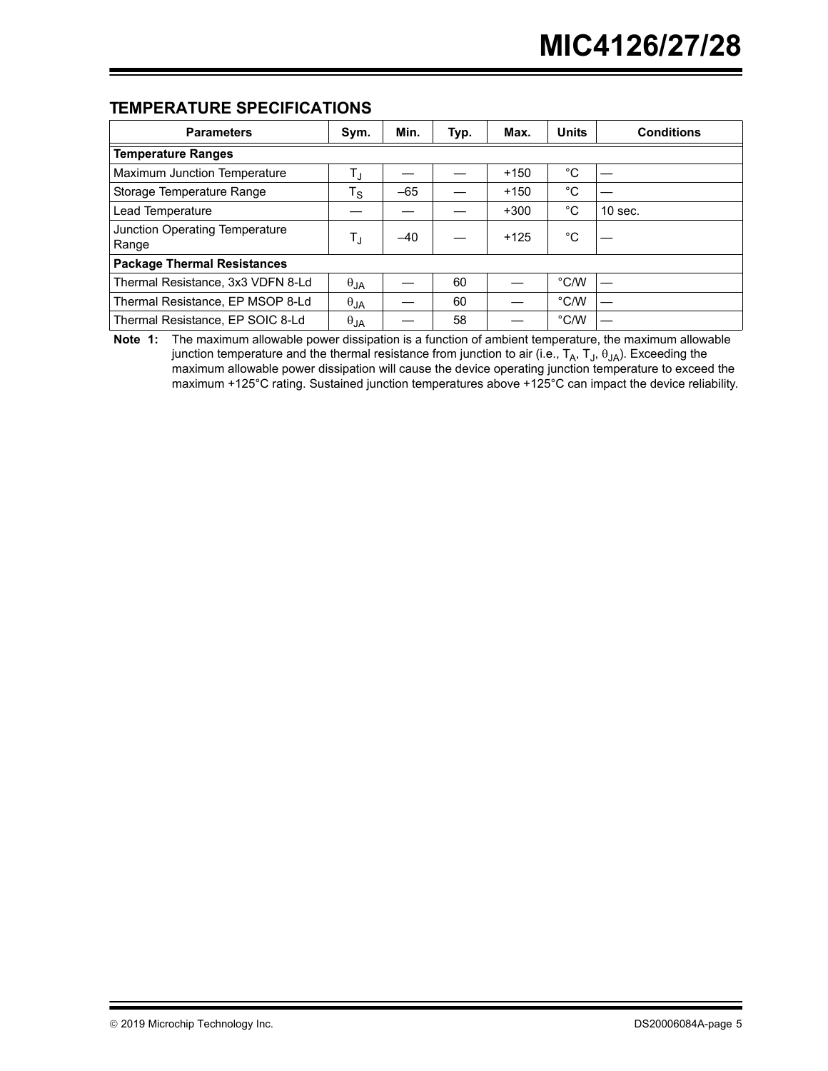# **TEMPERATURE SPECIFICATIONS**

| <b>Parameters</b>                       | Sym.          | Min.  | Typ. | Max.   | <b>Units</b>  | <b>Conditions</b> |  |
|-----------------------------------------|---------------|-------|------|--------|---------------|-------------------|--|
| <b>Temperature Ranges</b>               |               |       |      |        |               |                   |  |
| Maximum Junction Temperature            |               |       |      | $+150$ | °C            |                   |  |
| Storage Temperature Range               | $T_S$         | $-65$ |      | $+150$ | $^{\circ}C$   |                   |  |
| Lead Temperature                        |               |       |      | $+300$ | °C            | $10$ sec.         |  |
| Junction Operating Temperature<br>Range | $T_{\rm J}$   | $-40$ |      | $+125$ | °C            |                   |  |
| <b>Package Thermal Resistances</b>      |               |       |      |        |               |                   |  |
| Thermal Resistance, 3x3 VDFN 8-Ld       | $\theta_{JA}$ |       | 60   |        | $\degree$ C/W |                   |  |
| Thermal Resistance, EP MSOP 8-Ld        | $\theta_{JA}$ |       | 60   |        | $\degree$ C/W |                   |  |
| Thermal Resistance, EP SOIC 8-Ld        | $\theta_{JA}$ |       | 58   |        | $\degree$ C/W |                   |  |

**Note 1:** The maximum allowable power dissipation is a function of ambient temperature, the maximum allowable junction temperature and the thermal resistance from junction to air (i.e.,  $T_A$ ,  $T_J$ ,  $\theta_{JA}$ ). Exceeding the maximum allowable power dissipation will cause the device operating junction temperature to exceed the maximum +125°C rating. Sustained junction temperatures above +125°C can impact the device reliability.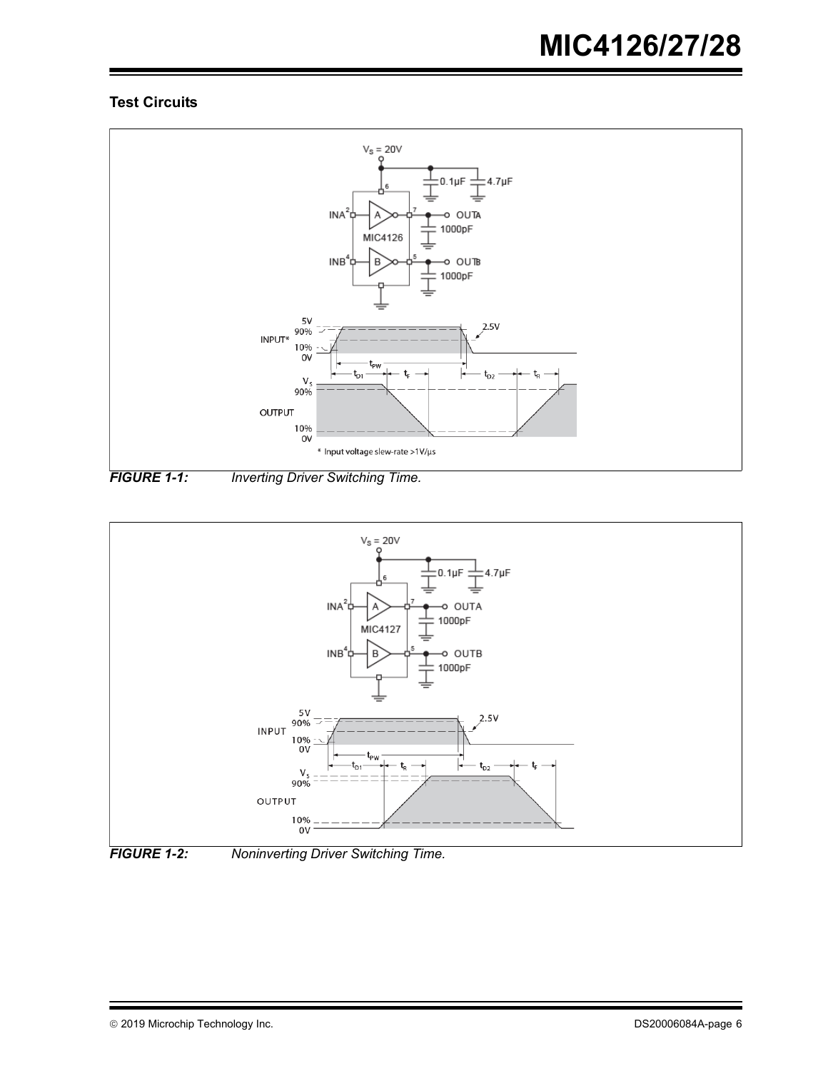# **Test Circuits**



<span id="page-5-0"></span>*FIGURE 1-1: Inverting Driver Switching Time.*



*FIGURE 1-2: Noninverting Driver Switching Time.*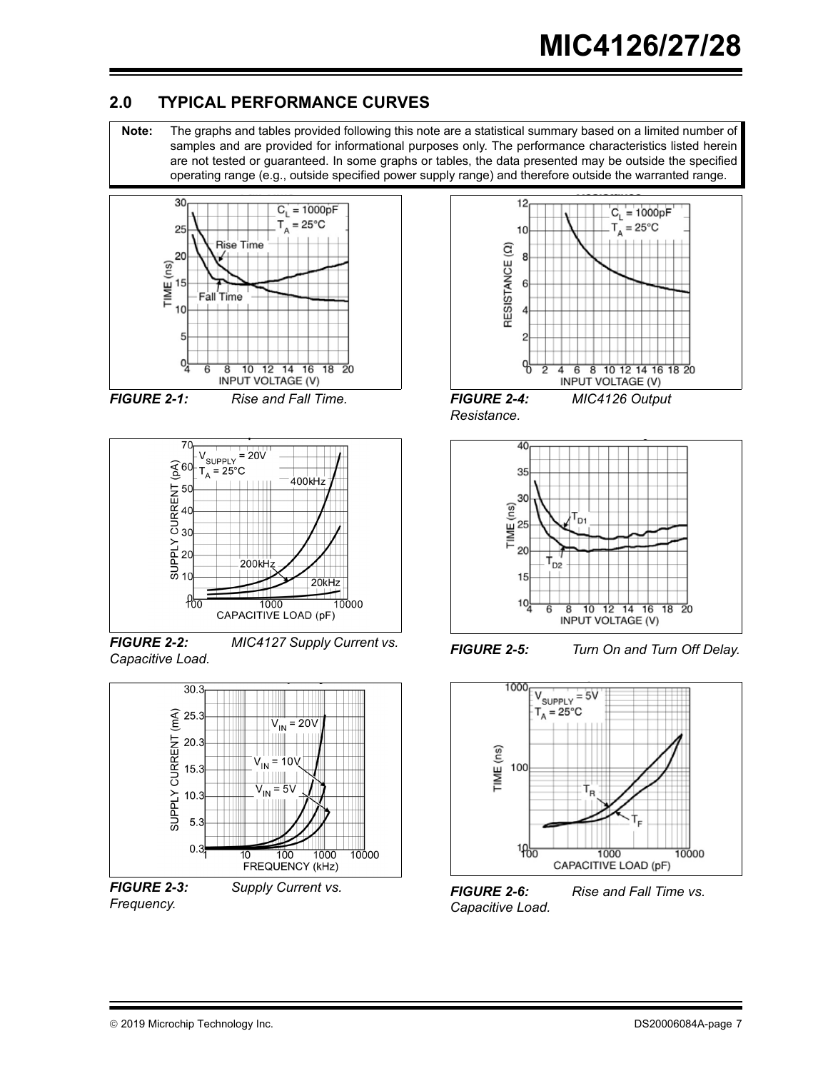# **2.0 TYPICAL PERFORMANCE CURVES**

**Note:** The graphs and tables provided following this note are a statistical summary based on a limited number of samples and are provided for informational purposes only. The performance characteristics listed herein are not tested or guaranteed. In some graphs or tables, the data presented may be outside the specified operating range (e.g., outside specified power supply range) and therefore outside the warranted range.





*FIGURE 2-2: MIC4127 Supply Current vs. Capacitive Load.*



*Frequency.*



*Resistance.* 

*FIGURE 2-4: MIC4126 Output* 



*FIGURE 2-5: Turn On and Turn Off Delay.*



*FIGURE 2-6: Rise and Fall Time vs. Capacitive Load.*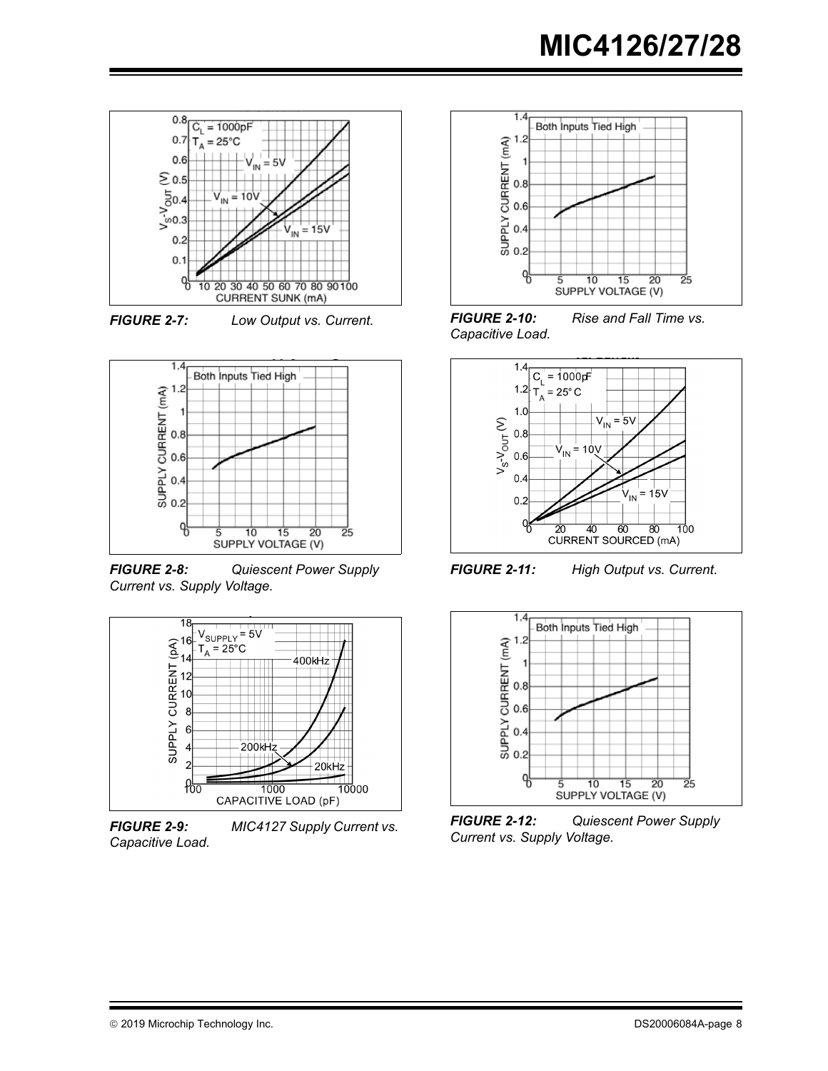

*FIGURE 2-7: Low Output vs. Current.*



*FIGURE 2-8: Quiescent Power Supply Current vs. Supply Voltage.*



*FIGURE 2-9: MIC4127 Supply Current vs. Capacitive Load.*



*FIGURE 2-10: Rise and Fall Time vs. Capacitive Load.*



*FIGURE 2-11: High Output vs. Current.*



*FIGURE 2-12: Quiescent Power Supply Current vs. Supply Voltage.*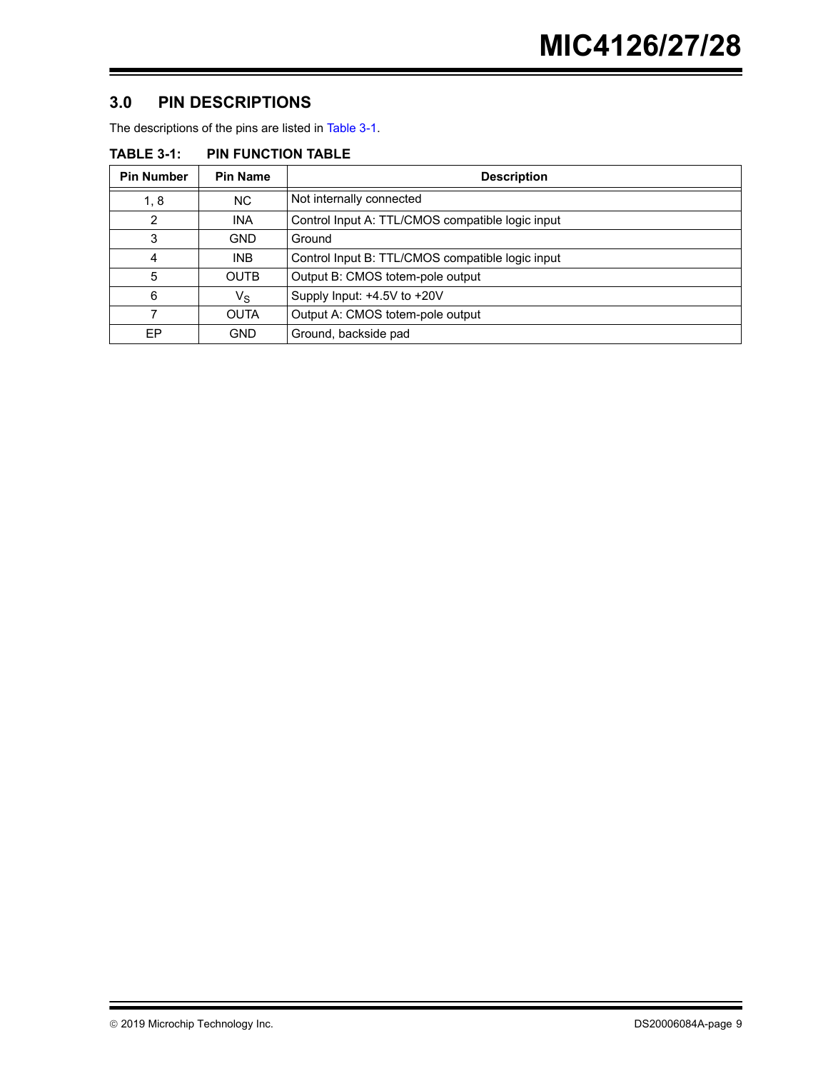# **3.0 PIN DESCRIPTIONS**

The descriptions of the pins are listed in [Table 3-1.](#page-8-0)

| <b>Pin Number</b> | <b>Pin Name</b>         | <b>Description</b>                               |
|-------------------|-------------------------|--------------------------------------------------|
| 1, 8              | NC.                     | Not internally connected                         |
| 2                 | <b>INA</b>              | Control Input A: TTL/CMOS compatible logic input |
| 3                 | <b>GND</b>              | Ground                                           |
| 4                 | <b>INB</b>              | Control Input B: TTL/CMOS compatible logic input |
| 5                 | <b>OUTB</b>             | Output B: CMOS totem-pole output                 |
| 6                 | $\mathsf{V}_\mathsf{S}$ | Supply Input: +4.5V to +20V                      |
|                   | <b>OUTA</b>             | Output A: CMOS totem-pole output                 |
| EP                | <b>GND</b>              | Ground, backside pad                             |

#### <span id="page-8-0"></span>**TABLE 3-1: PIN FUNCTION TABLE**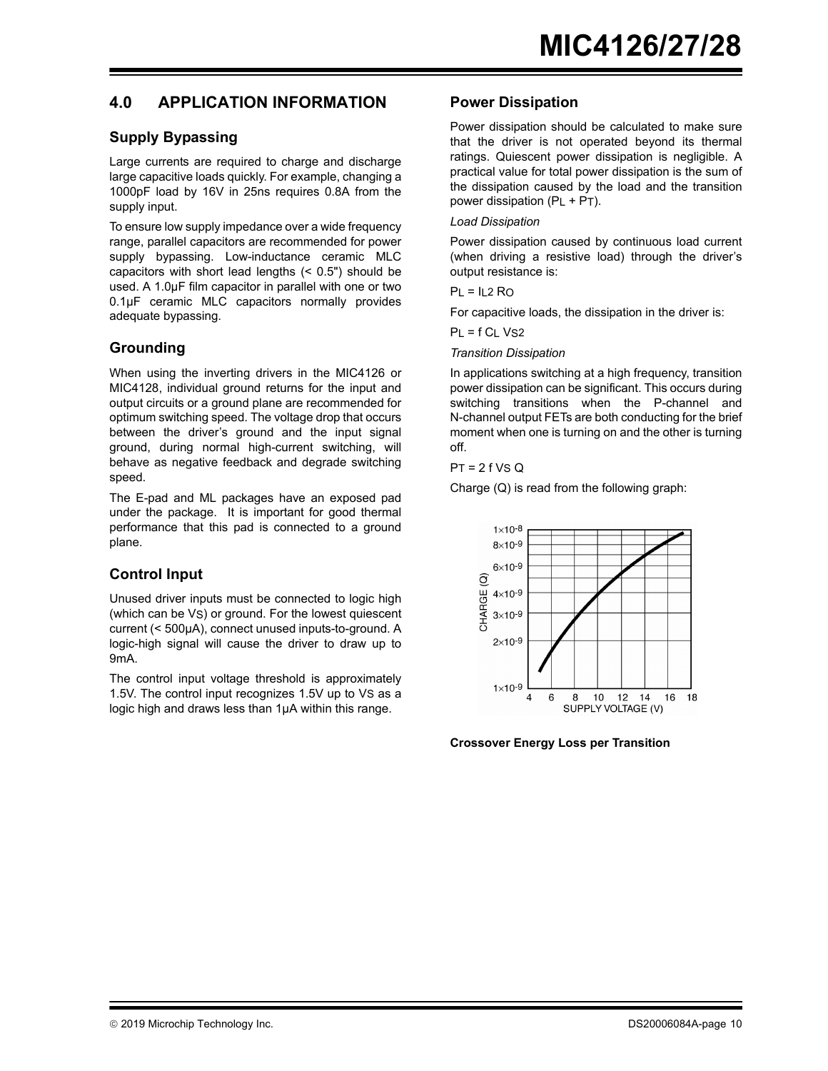# **4.0 APPLICATION INFORMATION**

## **Supply Bypassing**

Large currents are required to charge and discharge large capacitive loads quickly. For example, changing a 1000pF load by 16V in 25ns requires 0.8A from the supply input.

To ensure low supply impedance over a wide frequency range, parallel capacitors are recommended for power supply bypassing. Low-inductance ceramic MLC capacitors with short lead lengths (< 0.5") should be used. A 1.0µF film capacitor in parallel with one or two 0.1µF ceramic MLC capacitors normally provides adequate bypassing.

## **Grounding**

When using the inverting drivers in the MIC4126 or MIC4128, individual ground returns for the input and output circuits or a ground plane are recommended for optimum switching speed. The voltage drop that occurs between the driver's ground and the input signal ground, during normal high-current switching, will behave as negative feedback and degrade switching speed.

The E-pad and ML packages have an exposed pad under the package. It is important for good thermal performance that this pad is connected to a ground plane.

# **Control Input**

Unused driver inputs must be connected to logic high (which can be VS) or ground. For the lowest quiescent current (< 500µA), connect unused inputs-to-ground. A logic-high signal will cause the driver to draw up to 9mA.

The control input voltage threshold is approximately 1.5V. The control input recognizes 1.5V up to VS as a logic high and draws less than 1µA within this range.

## **Power Dissipation**

Power dissipation should be calculated to make sure that the driver is not operated beyond its thermal ratings. Quiescent power dissipation is negligible. A practical value for total power dissipation is the sum of the dissipation caused by the load and the transition power dissipation (PL + PT).

#### *Load Dissipation*

Power dissipation caused by continuous load current (when driving a resistive load) through the driver's output resistance is:

 $PL = IL2 RO$ 

For capacitive loads, the dissipation in the driver is:

$$
PL = f CL VS2
$$

*Transition Dissipation*

In applications switching at a high frequency, transition power dissipation can be significant. This occurs during switching transitions when the P-channel and N-channel output FETs are both conducting for the brief moment when one is turning on and the other is turning off.

#### $PT = 2 fVS$

Charge (Q) is read from the following graph:



**Crossover Energy Loss per Transition**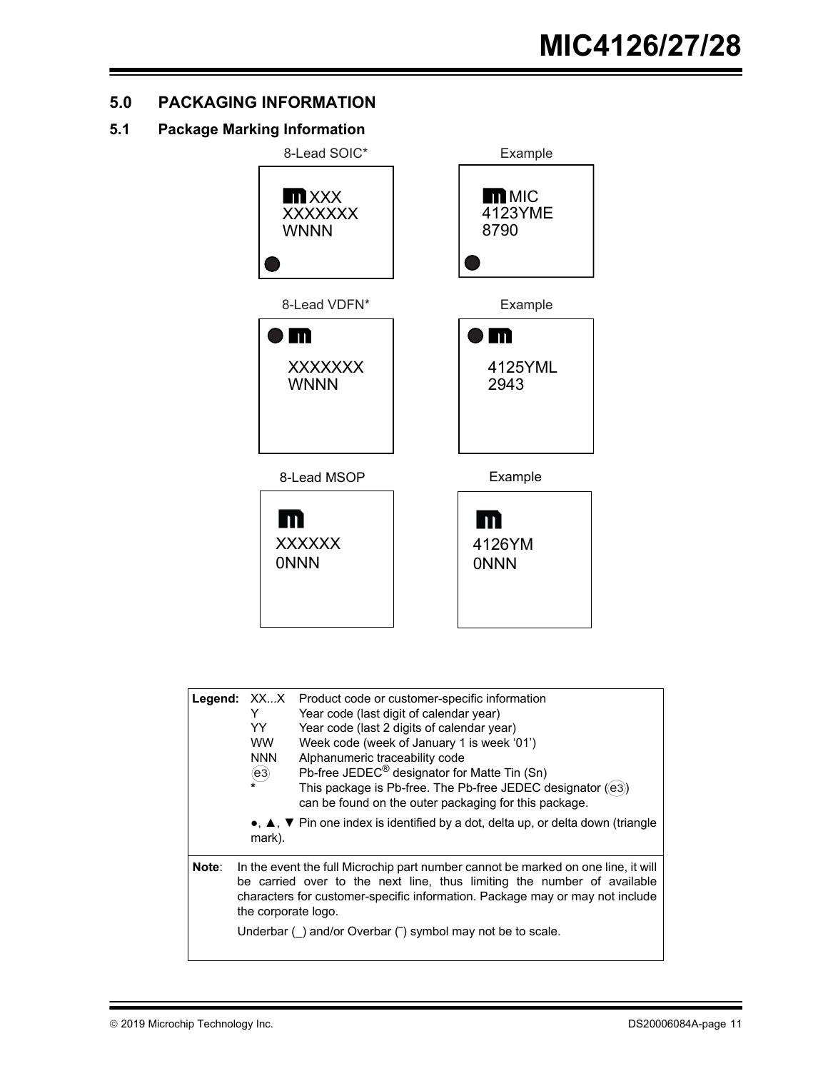# **5.0 PACKAGING INFORMATION**

**5.1 Package Marking Information**



|       | Legend: XXX<br>Y<br>YY<br><b>WW</b><br><b>NNN</b><br>$\left( 63\right)$<br>mark). | Product code or customer-specific information<br>Year code (last digit of calendar year)<br>Year code (last 2 digits of calendar year)<br>Week code (week of January 1 is week '01')<br>Alphanumeric traceability code<br>Pb-free JEDEC <sup>®</sup> designator for Matte Tin (Sn)<br>This package is Pb-free. The Pb-free JEDEC designator ((e3))<br>can be found on the outer packaging for this package.<br>•, A, $\nabla$ Pin one index is identified by a dot, delta up, or delta down (triangle |
|-------|-----------------------------------------------------------------------------------|-------------------------------------------------------------------------------------------------------------------------------------------------------------------------------------------------------------------------------------------------------------------------------------------------------------------------------------------------------------------------------------------------------------------------------------------------------------------------------------------------------|
| Note: | the corporate logo.                                                               | In the event the full Microchip part number cannot be marked on one line, it will<br>be carried over to the next line, thus limiting the number of available<br>characters for customer-specific information. Package may or may not include<br>Underbar () and/or Overbar (") symbol may not be to scale.                                                                                                                                                                                            |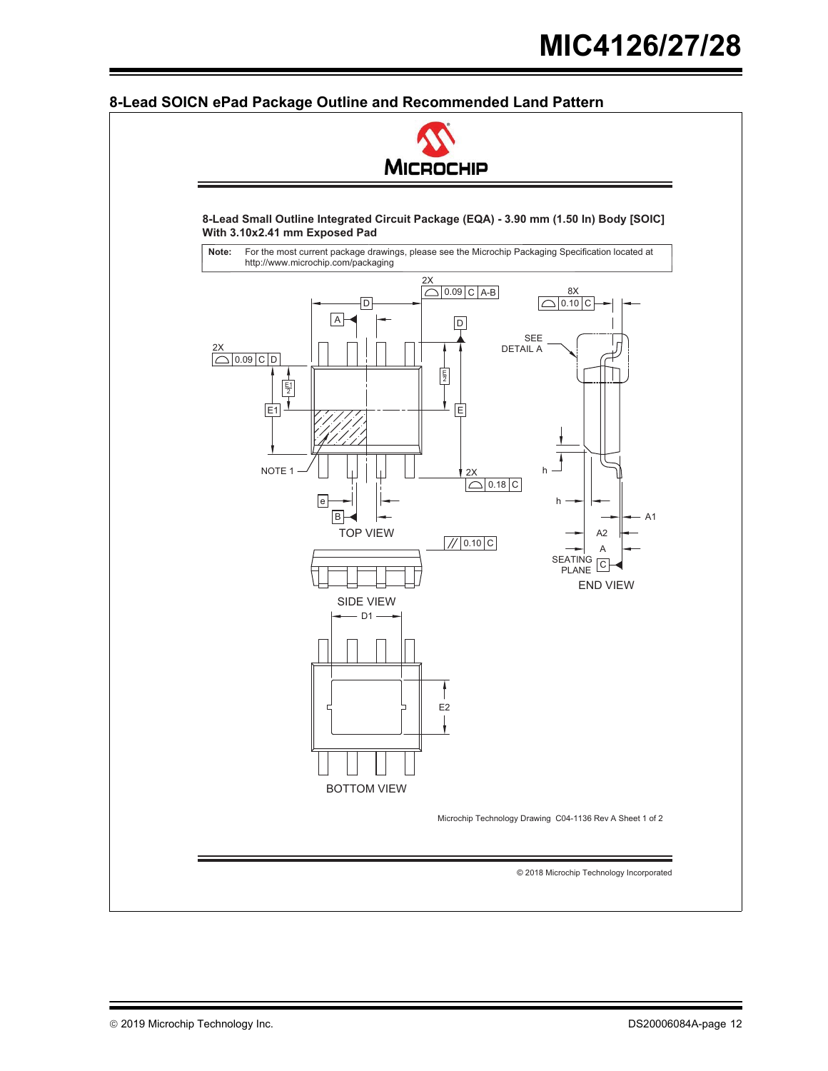# **8-Lead SOICN ePad Package Outline and Recommended Land Pattern**



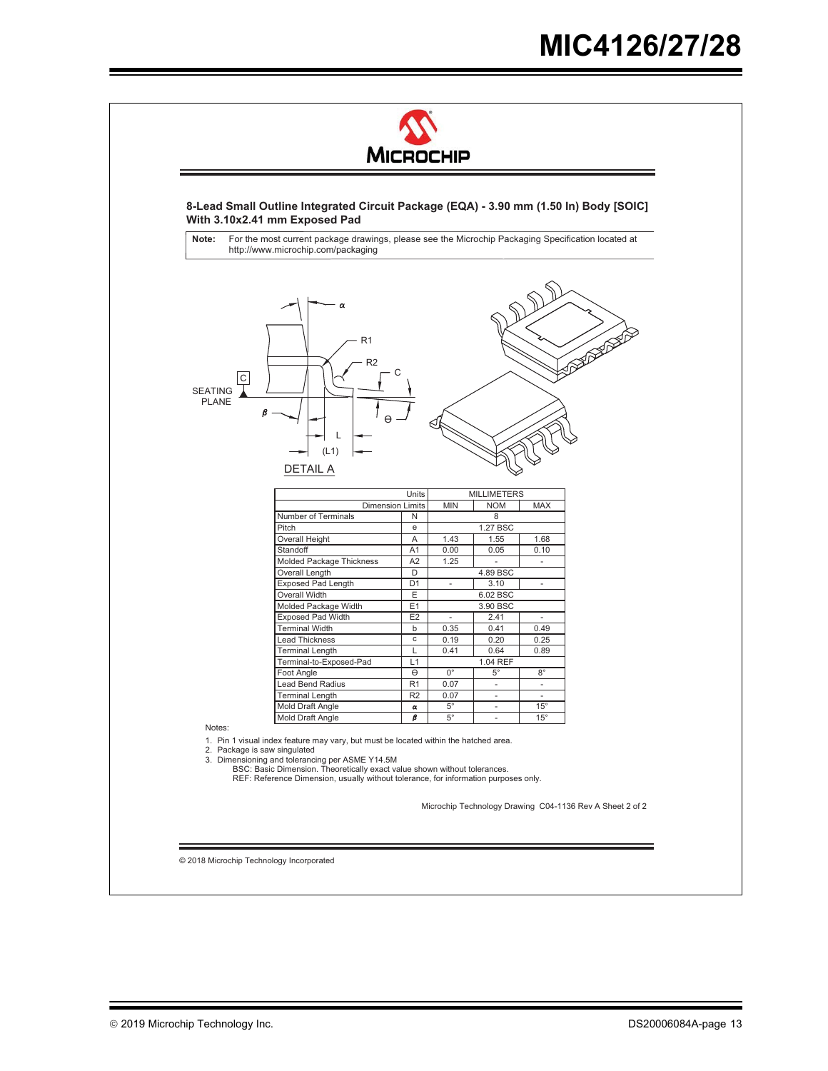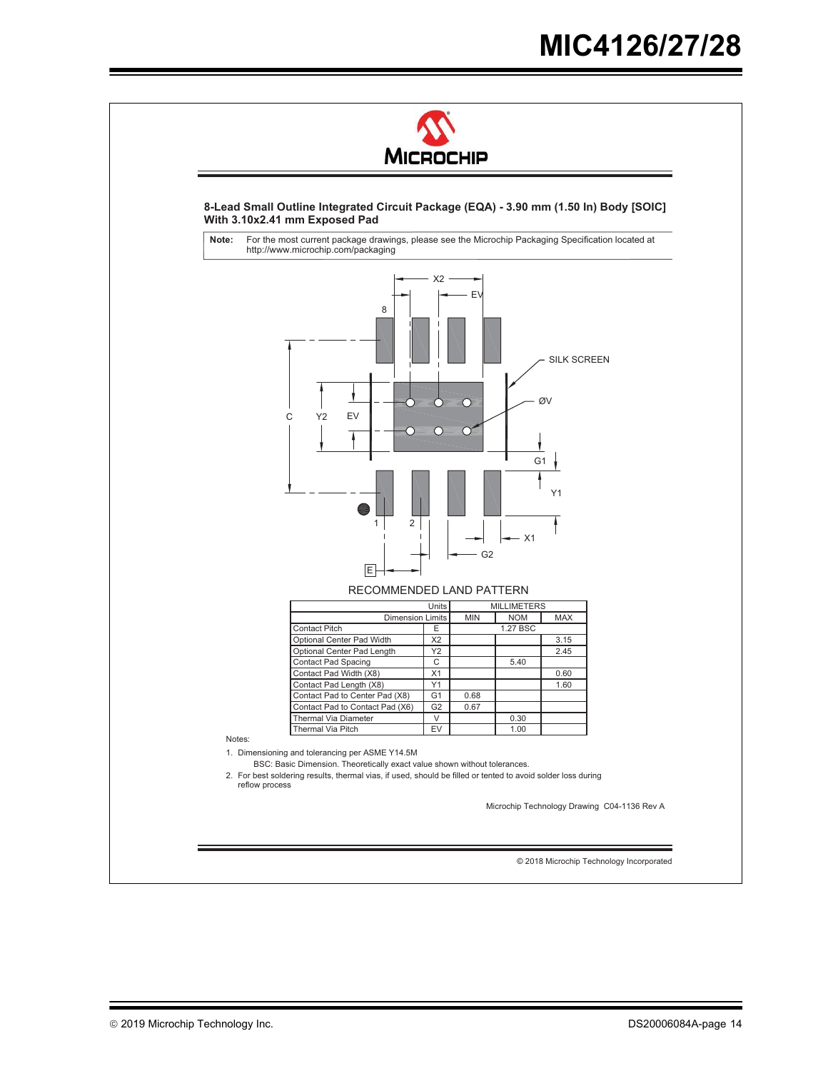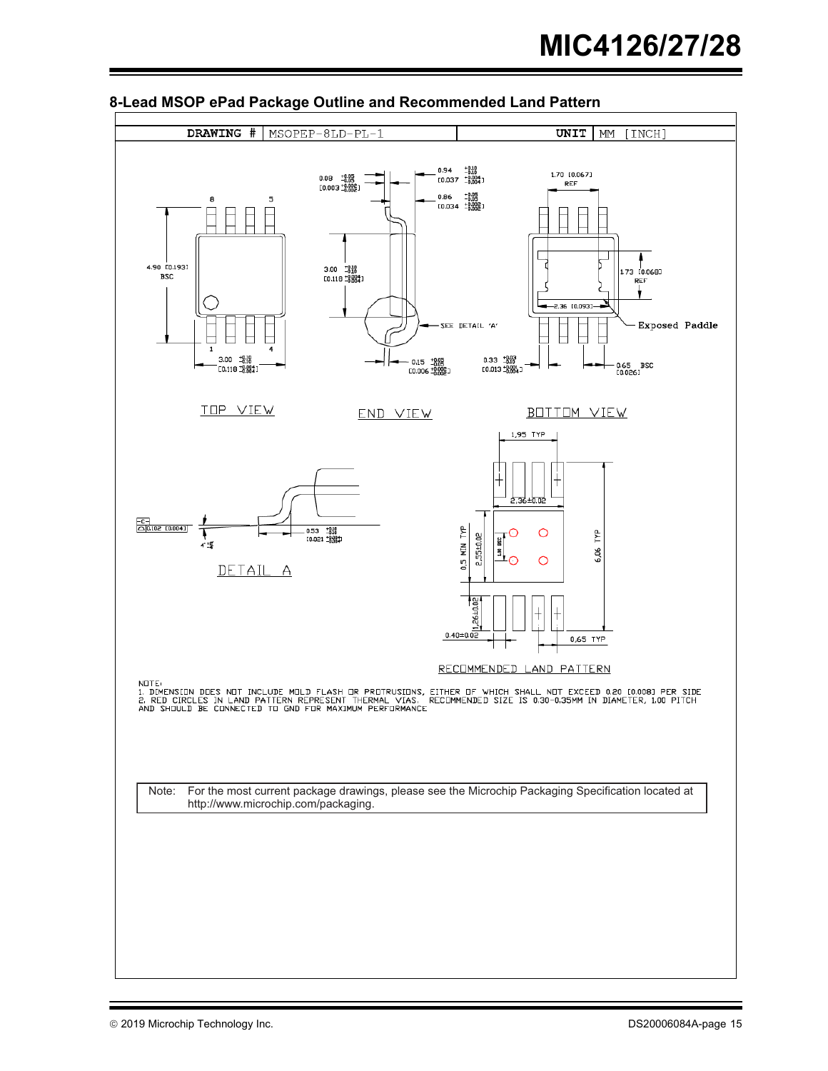

## **8-Lead MSOP ePad Package Outline and Recommended Land Pattern**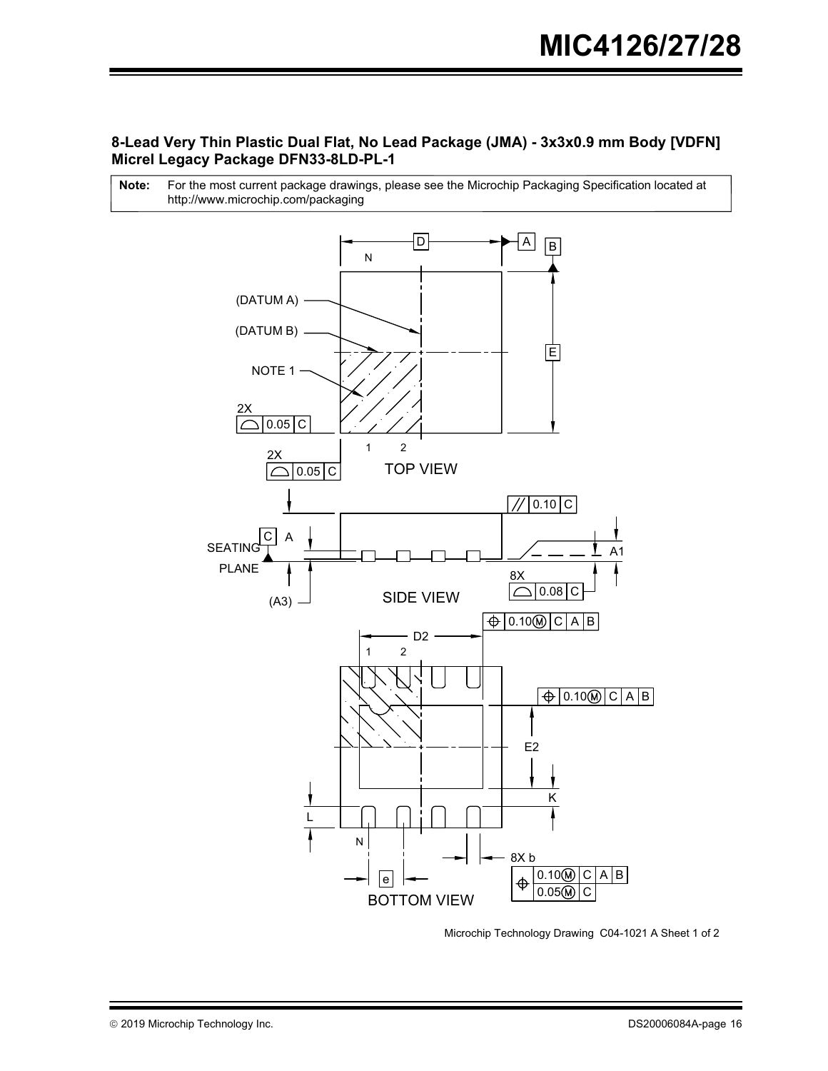## **8-Lead Very Thin Plastic Dual Flat, No Lead Package (JMA) - 3x3x0.9 mm Body [VDFN] Micrel Legacy Package DFN33-8LD-PL-1**

For the most current package drawings, please see the Microchip Packaging Specification located at http://www.microchip.com/packaging **Note:**



Microchip Technology Drawing C04-1021 A Sheet 1 of 2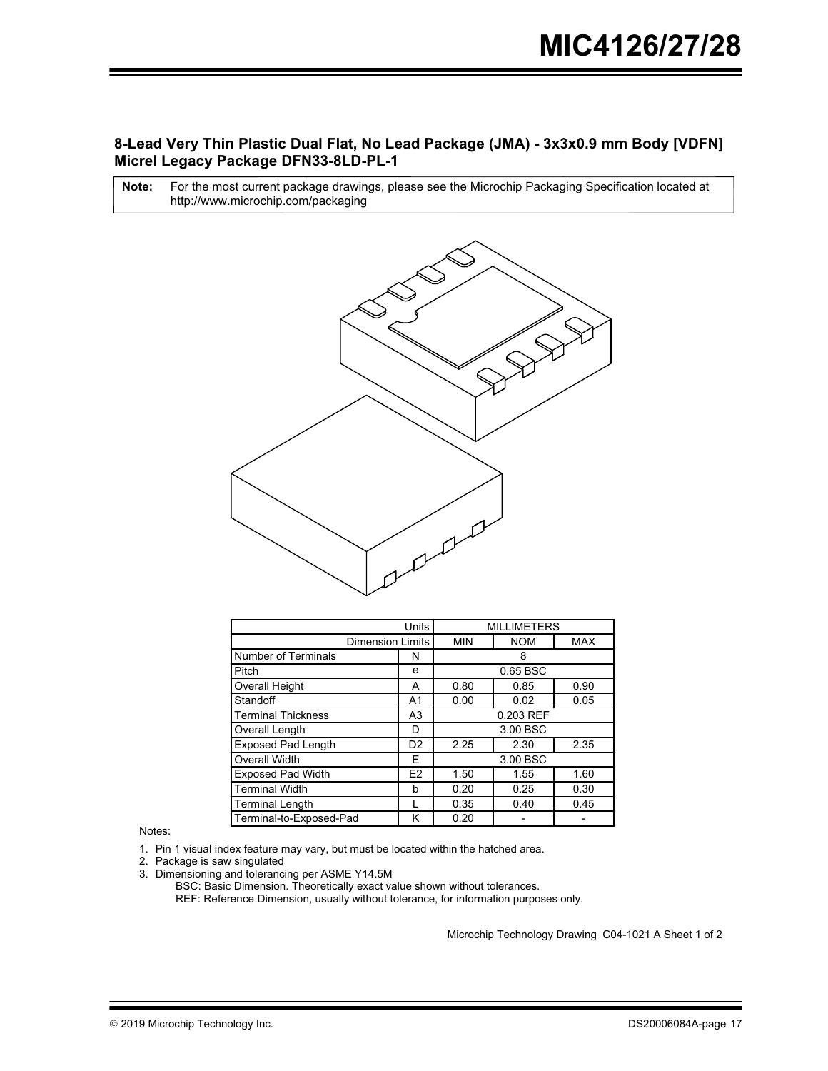## **8-Lead Very Thin Plastic Dual Flat, No Lead Package (JMA) - 3x3x0.9 mm Body [VDFN] Micrel Legacy Package DFN33-8LD-PL-1**

For the most current package drawings, please see the Microchip Packaging Specification located at http://www.microchip.com/packaging **Note:**



|                            | <b>MILLIMETERS</b>      |           |      |            |  |  |
|----------------------------|-------------------------|-----------|------|------------|--|--|
|                            | <b>Dimension Limits</b> |           |      | <b>MAX</b> |  |  |
| <b>Number of Terminals</b> | N                       |           | 8    |            |  |  |
| Pitch                      | e                       | 0.65 BSC  |      |            |  |  |
| <b>Overall Height</b>      | Α                       | 0.80      | 0.85 | 0.90       |  |  |
| Standoff                   | A <sub>1</sub>          | 0.00      | 0.02 | 0.05       |  |  |
| <b>Terminal Thickness</b>  | A <sub>3</sub>          | 0.203 REF |      |            |  |  |
| Overall Length             | D                       | 3.00 BSC  |      |            |  |  |
| <b>Exposed Pad Length</b>  | D <sub>2</sub>          | 2.25      | 2.30 | 2.35       |  |  |
| <b>Overall Width</b>       | F                       | 3.00 BSC  |      |            |  |  |
| <b>Exposed Pad Width</b>   | E <sub>2</sub>          | 1.50      | 1.55 | 1.60       |  |  |
| <b>Terminal Width</b>      | b                       | 0.20      | 0.25 | 0.30       |  |  |
| <b>Terminal Length</b>     |                         | 0.35      | 0.40 | 0.45       |  |  |
| Terminal-to-Exposed-Pad    | κ                       | 0.20      |      |            |  |  |

Notes:

1. Pin 1 visual index feature may vary, but must be located within the hatched area.

2. Package is saw singulated

3. Dimensioning and tolerancing per ASME Y14.5M

BSC: Basic Dimension. Theoretically exact value shown without tolerances.

REF: Reference Dimension, usually without tolerance, for information purposes only.

Microchip Technology Drawing C04-1021 A Sheet 1 of 2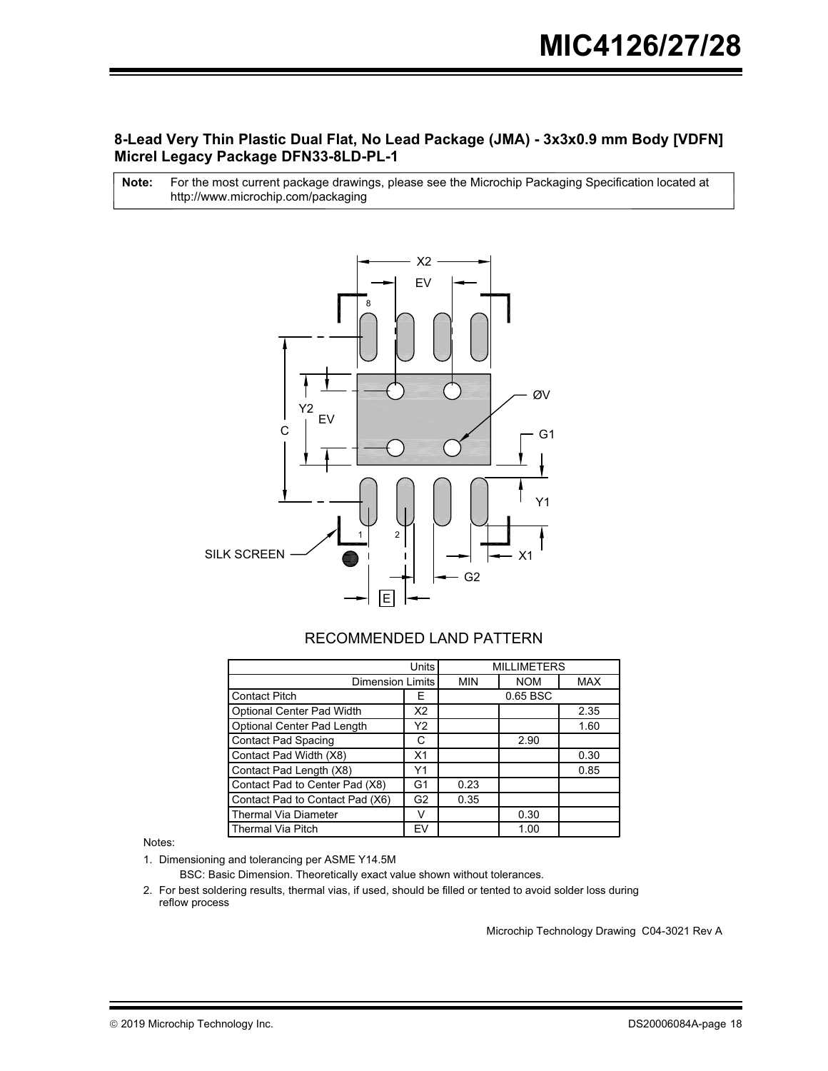## **8-Lead Very Thin Plastic Dual Flat, No Lead Package (JMA) - 3x3x0.9 mm Body [VDFN] Micrel Legacy Package DFN33-8LD-PL-1**

For the most current package drawings, please see the Microchip Packaging Specification located at http://www.microchip.com/packaging **Note:**



# RECOMMENDED LAND PATTERN

|                                  |                | <b>MILLIMETERS</b> |            |      |
|----------------------------------|----------------|--------------------|------------|------|
| <b>Dimension Limits</b>          | <b>MIN</b>     | <b>NOM</b>         | <b>MAX</b> |      |
| <b>Contact Pitch</b>             | Е              | 0.65 BSC           |            |      |
| <b>Optional Center Pad Width</b> | X2             |                    |            | 2.35 |
| Optional Center Pad Length       | Υ2             |                    |            | 1.60 |
| <b>Contact Pad Spacing</b>       | C              |                    | 2.90       |      |
| Contact Pad Width (X8)           | X1             |                    |            | 0.30 |
| Contact Pad Length (X8)          | Υ1             |                    |            | 0.85 |
| Contact Pad to Center Pad (X8)   | G1             | 0.23               |            |      |
| Contact Pad to Contact Pad (X6)  | G <sub>2</sub> | 0.35               |            |      |
| <b>Thermal Via Diameter</b>      |                |                    | 0.30       |      |
| <b>Thermal Via Pitch</b>         | <b>FV</b>      |                    |            |      |

Notes:

- 1. Dimensioning and tolerancing per ASME Y14.5M
	- BSC: Basic Dimension. Theoretically exact value shown without tolerances.
- 2. For best soldering results, thermal vias, if used, should be filled or tented to avoid solder loss during reflow process

Microchip Technology Drawing C04-3021 Rev A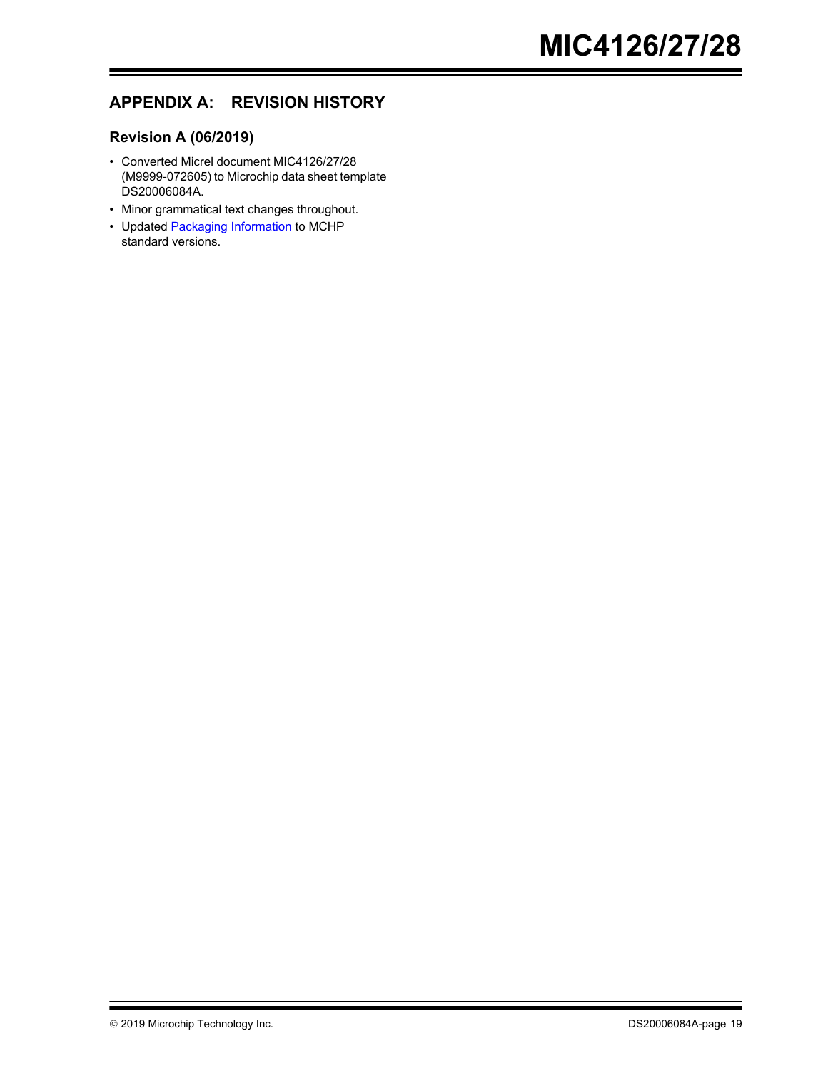# **APPENDIX A: REVISION HISTORY**

## **Revision A (06/2019)**

- Converted Micrel document MIC4126/27/28 (M9999-072605) to Microchip data sheet template DS20006084A.
- Minor grammatical text changes throughout.
- Updated Packaging Information to MCHP standard versions.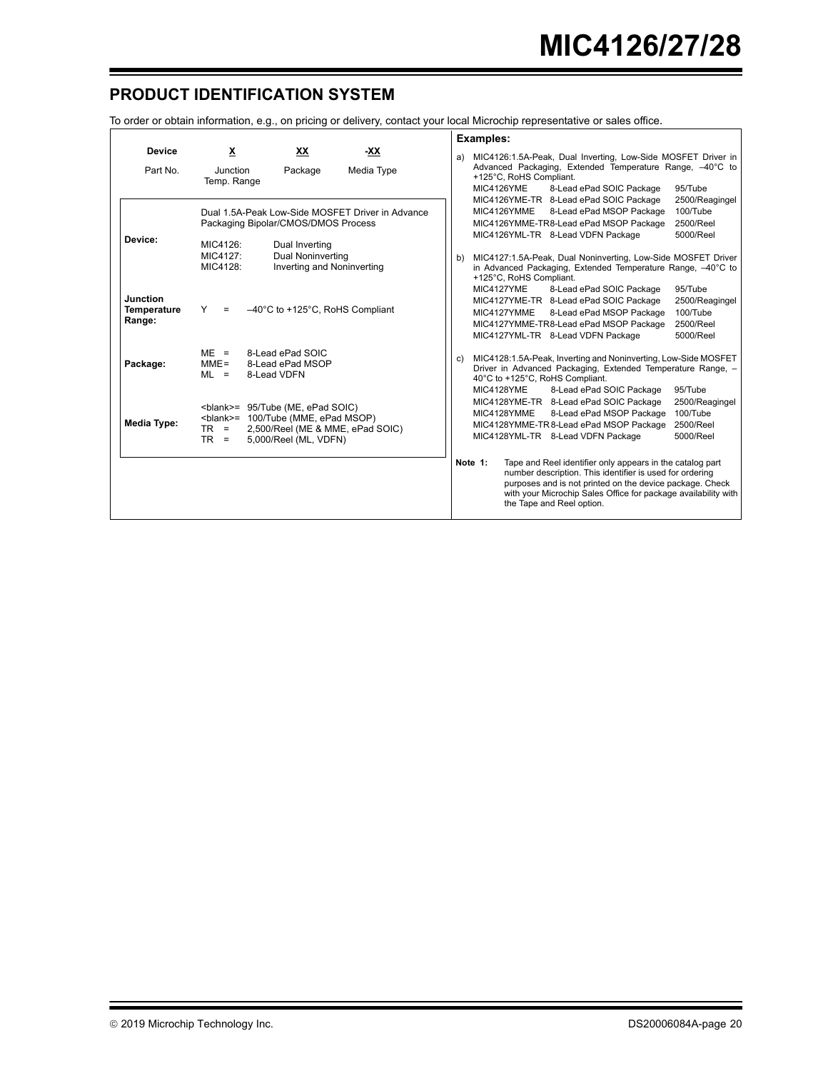# **PRODUCT IDENTIFICATION SYSTEM**

To order or obtain information, e.g., on pricing or delivery, contact your local Microchip representative or sales office.

|                                          |                                     |                                                                                  |                                                  |    | Examples:                                                                                                                                                                                                                                                                                   |
|------------------------------------------|-------------------------------------|----------------------------------------------------------------------------------|--------------------------------------------------|----|---------------------------------------------------------------------------------------------------------------------------------------------------------------------------------------------------------------------------------------------------------------------------------------------|
| <b>Device</b><br>Part No.                | <u>x</u><br>Junction<br>Temp. Range | XX<br>Package                                                                    | -XX<br>Media Type                                | a) | MIC4126:1.5A-Peak, Dual Inverting, Low-Side MOSFET Driver in<br>Advanced Packaging, Extended Temperature Range, -40°C to<br>+125°C, RoHS Compliant.<br>MIC4126YME<br>8-Lead ePad SOIC Package<br>95/Tube                                                                                    |
| Device:                                  | MIC4126:                            | Packaging Bipolar/CMOS/DMOS Process<br>Dual Inverting                            | Dual 1.5A-Peak Low-Side MOSFET Driver in Advance |    | MIC4126YME-TR 8-Lead ePad SOIC Package<br>2500/Reagingel<br>100/Tube<br>MIC4126YMME 8-Lead ePad MSOP Package<br>MIC4126YMME-TR8-Lead ePad MSOP Package<br>2500/Reel<br>5000/Reel<br>MIC4126YML-TR 8-Lead VDFN Package                                                                       |
|                                          | MIC4127:<br>MIC4128:                | Dual Noninverting<br>Inverting and Noninverting                                  |                                                  | b) | MIC4127:1.5A-Peak, Dual Noninverting, Low-Side MOSFET Driver<br>in Advanced Packaging, Extended Temperature Range, -40°C to<br>+125°C, RoHS Compliant.                                                                                                                                      |
| Junction<br><b>Temperature</b><br>Range: | Y<br>$\qquad \qquad =$              | -40°C to +125°C, RoHS Compliant                                                  |                                                  |    | MIC4127YME<br>95/Tube<br>8-Lead ePad SOIC Package<br>MIC4127YME-TR 8-Lead ePad SOIC Package<br>2500/Reagingel<br>100/Tube<br>MIC4127YMME<br>8-Lead ePad MSOP Package<br>MIC4127YMME-TR8-Lead ePad MSOP Package<br>2500/Reel<br>MIC4127YML-TR 8-Lead VDFN Package<br>5000/Reel               |
| Package:                                 | $MF =$<br>$MME =$<br>$ML =$         | 8-Lead ePad SOIC<br>8-Lead ePad MSOP<br>8-Lead VDFN                              |                                                  | C) | MIC4128:1.5A-Peak, Inverting and Noninverting, Low-Side MOSFET<br>Driver in Advanced Packaging, Extended Temperature Range, -<br>40°C to +125°C, RoHS Compliant.                                                                                                                            |
| <b>Media Type:</b>                       | $TR =$<br>$TR =$                    | <br>blank>= 95/Tube (ME, ePad SOIC)<br><br>blank>= 100/Tube (MME, ePad MSOP)<br> |                                                  |    | MIC4128YME<br>8-Lead ePad SOIC Package<br>95/Tube<br>MIC4128YME-TR 8-Lead ePad SOIC Package<br>2500/Reagingel<br>100/Tube<br>MIC4128YMME<br>8-Lead ePad MSOP Package<br>MIC4128YMME-TR8-Lead ePad MSOP Package<br>2500/Reel<br>MIC4128YML-TR 8-Lead VDFN Package<br>5000/Reel               |
|                                          |                                     |                                                                                  |                                                  |    | Note 1:<br>Tape and Reel identifier only appears in the catalog part<br>number description. This identifier is used for ordering<br>purposes and is not printed on the device package. Check<br>with your Microchip Sales Office for package availability with<br>the Tape and Reel option. |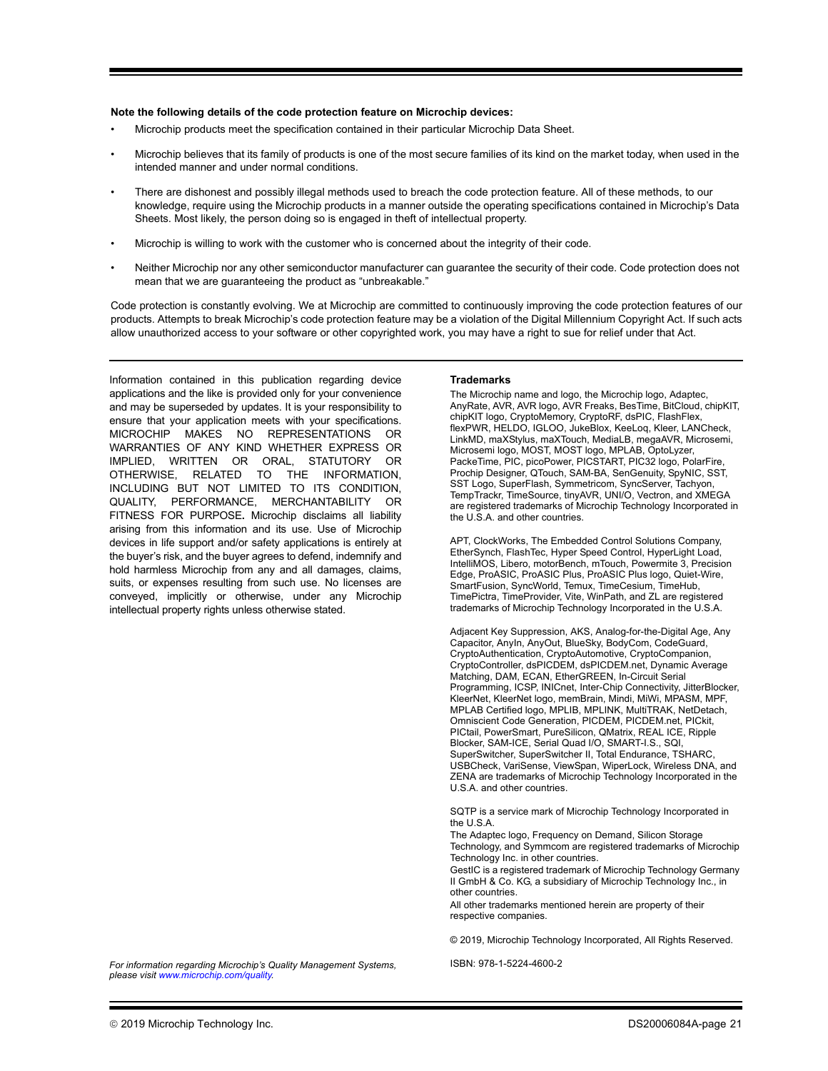#### **Note the following details of the code protection feature on Microchip devices:**

- Microchip products meet the specification contained in their particular Microchip Data Sheet.
- Microchip believes that its family of products is one of the most secure families of its kind on the market today, when used in the intended manner and under normal conditions.
- There are dishonest and possibly illegal methods used to breach the code protection feature. All of these methods, to our knowledge, require using the Microchip products in a manner outside the operating specifications contained in Microchip's Data Sheets. Most likely, the person doing so is engaged in theft of intellectual property.
- Microchip is willing to work with the customer who is concerned about the integrity of their code.
- Neither Microchip nor any other semiconductor manufacturer can guarantee the security of their code. Code protection does not mean that we are guaranteeing the product as "unbreakable."

Code protection is constantly evolving. We at Microchip are committed to continuously improving the code protection features of our products. Attempts to break Microchip's code protection feature may be a violation of the Digital Millennium Copyright Act. If such acts allow unauthorized access to your software or other copyrighted work, you may have a right to sue for relief under that Act.

Information contained in this publication regarding device applications and the like is provided only for your convenience and may be superseded by updates. It is your responsibility to ensure that your application meets with your specifications. MICROCHIP MAKES NO REPRESENTATIONS OR WARRANTIES OF ANY KIND WHETHER EXPRESS OR IMPLIED, WRITTEN OR ORAL, STATUTORY OR OTHERWISE, RELATED TO THE INFORMATION, INCLUDING BUT NOT LIMITED TO ITS CONDITION, QUALITY, PERFORMANCE, MERCHANTABILITY OR FITNESS FOR PURPOSE**.** Microchip disclaims all liability arising from this information and its use. Use of Microchip devices in life support and/or safety applications is entirely at the buyer's risk, and the buyer agrees to defend, indemnify and hold harmless Microchip from any and all damages, claims, suits, or expenses resulting from such use. No licenses are conveyed, implicitly or otherwise, under any Microchip intellectual property rights unless otherwise stated.

#### **Trademarks**

The Microchip name and logo, the Microchip logo, Adaptec, AnyRate, AVR, AVR logo, AVR Freaks, BesTime, BitCloud, chipKIT, chipKIT logo, CryptoMemory, CryptoRF, dsPIC, FlashFlex, flexPWR, HELDO, IGLOO, JukeBlox, KeeLoq, Kleer, LANCheck, LinkMD, maXStylus, maXTouch, MediaLB, megaAVR, Microsemi, Microsemi logo, MOST, MOST logo, MPLAB, OptoLyzer, PackeTime, PIC, picoPower, PICSTART, PIC32 logo, PolarFire, Prochip Designer, QTouch, SAM-BA, SenGenuity, SpyNIC, SST, SST Logo, SuperFlash, Symmetricom, SyncServer, Tachyon, TempTrackr, TimeSource, tinyAVR, UNI/O, Vectron, and XMEGA are registered trademarks of Microchip Technology Incorporated in the U.S.A. and other countries.

APT, ClockWorks, The Embedded Control Solutions Company, EtherSynch, FlashTec, Hyper Speed Control, HyperLight Load, IntelliMOS, Libero, motorBench, mTouch, Powermite 3, Precision Edge, ProASIC, ProASIC Plus, ProASIC Plus logo, Quiet-Wire, SmartFusion, SyncWorld, Temux, TimeCesium, TimeHub, TimePictra, TimeProvider, Vite, WinPath, and ZL are registered trademarks of Microchip Technology Incorporated in the U.S.A.

Adjacent Key Suppression, AKS, Analog-for-the-Digital Age, Any Capacitor, AnyIn, AnyOut, BlueSky, BodyCom, CodeGuard, CryptoAuthentication, CryptoAutomotive, CryptoCompanion, CryptoController, dsPICDEM, dsPICDEM.net, Dynamic Average Matching, DAM, ECAN, EtherGREEN, In-Circuit Serial Programming, ICSP, INICnet, Inter-Chip Connectivity, JitterBlocker, KleerNet, KleerNet logo, memBrain, Mindi, MiWi, MPASM, MPF, MPLAB Certified logo, MPLIB, MPLINK, MultiTRAK, NetDetach, Omniscient Code Generation, PICDEM, PICDEM.net, PICkit, PICtail, PowerSmart, PureSilicon, QMatrix, REAL ICE, Ripple Blocker, SAM-ICE, Serial Quad I/O, SMART-I.S., SQI, SuperSwitcher, SuperSwitcher II, Total Endurance, TSHARC, USBCheck, VariSense, ViewSpan, WiperLock, Wireless DNA, and ZENA are trademarks of Microchip Technology Incorporated in the U.S.A. and other countries.

SQTP is a service mark of Microchip Technology Incorporated in the U.S.A.

The Adaptec logo, Frequency on Demand, Silicon Storage Technology, and Symmcom are registered trademarks of Microchip Technology Inc. in other countries.

GestIC is a registered trademark of Microchip Technology Germany II GmbH & Co. KG, a subsidiary of Microchip Technology Inc., in other countries.

All other trademarks mentioned herein are property of their respective companies.

© 2019, Microchip Technology Incorporated, All Rights Reserved.

ISBN: 978-1-5224-4600-2

*[For information regarding Microchip's Quality Management Systems,](www.microchip.com/quality)  [please visit](www.microchip.com/quality) www.microchip.com/quality.*